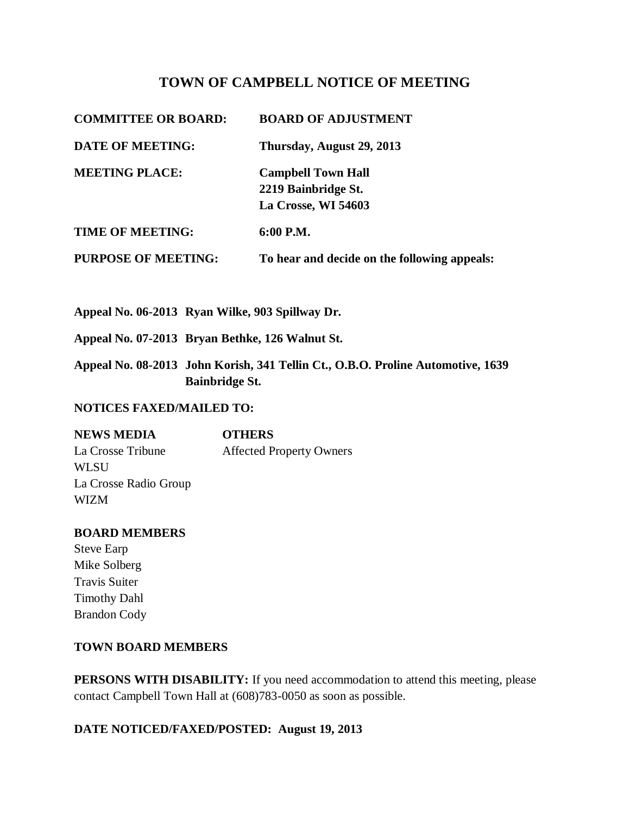# **TOWN OF CAMPBELL NOTICE OF MEETING**

| <b>COMMITTEE OR BOARD:</b> | <b>BOARD OF ADJUSTMENT</b>                                              |
|----------------------------|-------------------------------------------------------------------------|
| <b>DATE OF MEETING:</b>    | Thursday, August 29, 2013                                               |
| <b>MEETING PLACE:</b>      | <b>Campbell Town Hall</b><br>2219 Bainbridge St.<br>La Crosse, WI 54603 |
| <b>TIME OF MEETING:</b>    | 6:00 P.M.                                                               |
| <b>PURPOSE OF MEETING:</b> | To hear and decide on the following appeals:                            |

**Appeal No. 06-2013 Ryan Wilke, 903 Spillway Dr.** 

**Appeal No. 07-2013 Bryan Bethke, 126 Walnut St.** 

**Appeal No. 08-2013 John Korish, 341 Tellin Ct., O.B.O. Proline Automotive, 1639 Bainbridge St.** 

#### **NOTICES FAXED/MAILED TO:**

**NEWS MEDIA OTHERS** La Crosse Tribune **Affected Property Owners WLSU** La Crosse Radio Group WIZM

#### **BOARD MEMBERS**

Steve Earp Mike Solberg Travis Suiter Timothy Dahl Brandon Cody

### **TOWN BOARD MEMBERS**

**PERSONS WITH DISABILITY:** If you need accommodation to attend this meeting, please contact Campbell Town Hall at (608)783-0050 as soon as possible.

#### **DATE NOTICED/FAXED/POSTED: August 19, 2013**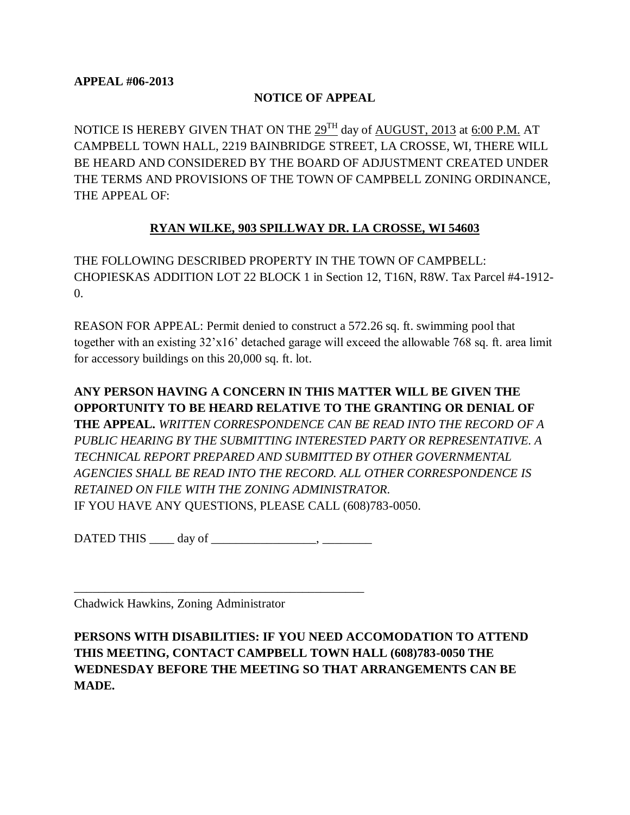### **NOTICE OF APPEAL**

NOTICE IS HEREBY GIVEN THAT ON THE 29<sup>TH</sup> day of AUGUST, 2013 at 6:00 P.M. AT CAMPBELL TOWN HALL, 2219 BAINBRIDGE STREET, LA CROSSE, WI, THERE WILL BE HEARD AND CONSIDERED BY THE BOARD OF ADJUSTMENT CREATED UNDER THE TERMS AND PROVISIONS OF THE TOWN OF CAMPBELL ZONING ORDINANCE, THE APPEAL OF:

# **RYAN WILKE, 903 SPILLWAY DR. LA CROSSE, WI 54603**

THE FOLLOWING DESCRIBED PROPERTY IN THE TOWN OF CAMPBELL: CHOPIESKAS ADDITION LOT 22 BLOCK 1 in Section 12, T16N, R8W. Tax Parcel #4-1912- 0.

REASON FOR APPEAL: Permit denied to construct a 572.26 sq. ft. swimming pool that together with an existing 32'x16' detached garage will exceed the allowable 768 sq. ft. area limit for accessory buildings on this 20,000 sq. ft. lot.

**ANY PERSON HAVING A CONCERN IN THIS MATTER WILL BE GIVEN THE OPPORTUNITY TO BE HEARD RELATIVE TO THE GRANTING OR DENIAL OF THE APPEAL.** *WRITTEN CORRESPONDENCE CAN BE READ INTO THE RECORD OF A PUBLIC HEARING BY THE SUBMITTING INTERESTED PARTY OR REPRESENTATIVE. A TECHNICAL REPORT PREPARED AND SUBMITTED BY OTHER GOVERNMENTAL AGENCIES SHALL BE READ INTO THE RECORD. ALL OTHER CORRESPONDENCE IS RETAINED ON FILE WITH THE ZONING ADMINISTRATOR.*  IF YOU HAVE ANY QUESTIONS, PLEASE CALL (608)783-0050.

DATED THIS day of  $\qquad \qquad$ 

\_\_\_\_\_\_\_\_\_\_\_\_\_\_\_\_\_\_\_\_\_\_\_\_\_\_\_\_\_\_\_\_\_\_\_\_\_\_\_\_\_\_\_\_\_\_\_

Chadwick Hawkins, Zoning Administrator

**PERSONS WITH DISABILITIES: IF YOU NEED ACCOMODATION TO ATTEND THIS MEETING, CONTACT CAMPBELL TOWN HALL (608)783-0050 THE WEDNESDAY BEFORE THE MEETING SO THAT ARRANGEMENTS CAN BE MADE.**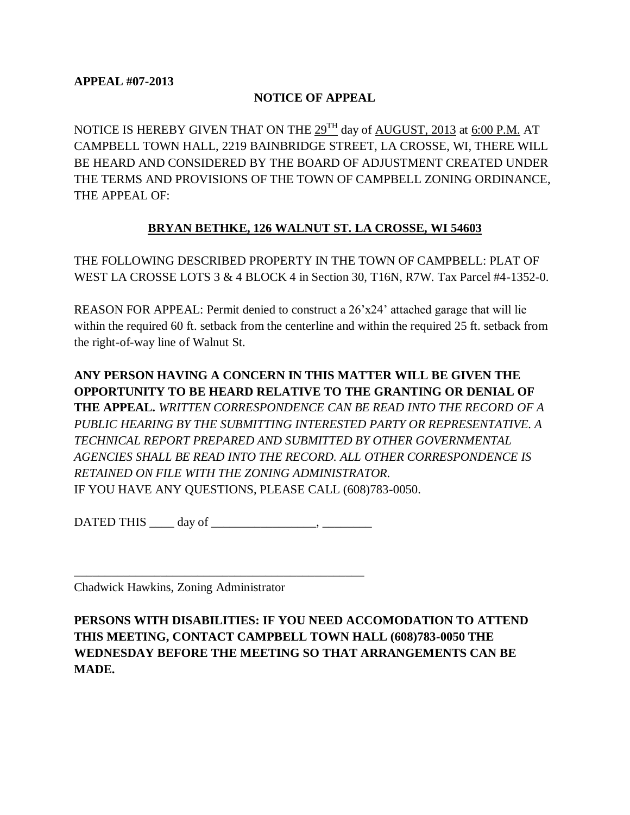### **NOTICE OF APPEAL**

NOTICE IS HEREBY GIVEN THAT ON THE 29<sup>TH</sup> day of AUGUST, 2013 at 6:00 P.M. AT CAMPBELL TOWN HALL, 2219 BAINBRIDGE STREET, LA CROSSE, WI, THERE WILL BE HEARD AND CONSIDERED BY THE BOARD OF ADJUSTMENT CREATED UNDER THE TERMS AND PROVISIONS OF THE TOWN OF CAMPBELL ZONING ORDINANCE, THE APPEAL OF:

# **BRYAN BETHKE, 126 WALNUT ST. LA CROSSE, WI 54603**

THE FOLLOWING DESCRIBED PROPERTY IN THE TOWN OF CAMPBELL: PLAT OF WEST LA CROSSE LOTS 3 & 4 BLOCK 4 in Section 30, T16N, R7W. Tax Parcel #4-1352-0.

REASON FOR APPEAL: Permit denied to construct a 26'x24' attached garage that will lie within the required 60 ft. setback from the centerline and within the required 25 ft. setback from the right-of-way line of Walnut St.

**ANY PERSON HAVING A CONCERN IN THIS MATTER WILL BE GIVEN THE OPPORTUNITY TO BE HEARD RELATIVE TO THE GRANTING OR DENIAL OF THE APPEAL.** *WRITTEN CORRESPONDENCE CAN BE READ INTO THE RECORD OF A PUBLIC HEARING BY THE SUBMITTING INTERESTED PARTY OR REPRESENTATIVE. A TECHNICAL REPORT PREPARED AND SUBMITTED BY OTHER GOVERNMENTAL AGENCIES SHALL BE READ INTO THE RECORD. ALL OTHER CORRESPONDENCE IS RETAINED ON FILE WITH THE ZONING ADMINISTRATOR.*  IF YOU HAVE ANY QUESTIONS, PLEASE CALL (608)783-0050.

DATED THIS day of part of the set of the set of the set of the set of the set of the set of the set of the set of the set of the set of the set of the set of the set of the set of the set of the set of the set of the set o

\_\_\_\_\_\_\_\_\_\_\_\_\_\_\_\_\_\_\_\_\_\_\_\_\_\_\_\_\_\_\_\_\_\_\_\_\_\_\_\_\_\_\_\_\_\_\_

Chadwick Hawkins, Zoning Administrator

**PERSONS WITH DISABILITIES: IF YOU NEED ACCOMODATION TO ATTEND THIS MEETING, CONTACT CAMPBELL TOWN HALL (608)783-0050 THE WEDNESDAY BEFORE THE MEETING SO THAT ARRANGEMENTS CAN BE MADE.**